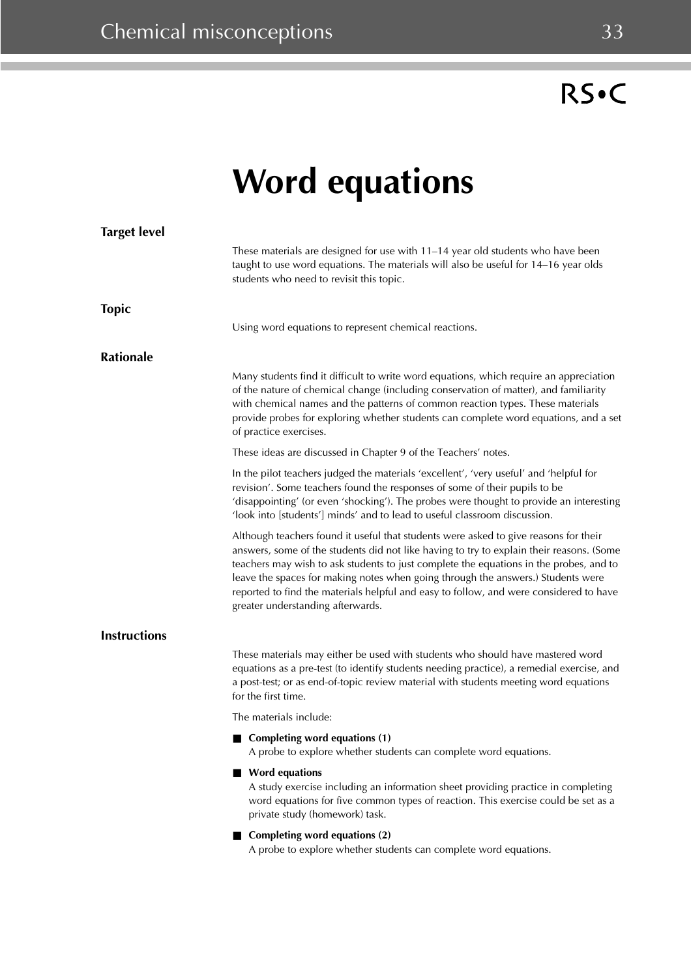# **Word equations**

| <b>Target level</b> |                                                                                                                                                                                                                                                                                                                                                                                                                                                                                               |
|---------------------|-----------------------------------------------------------------------------------------------------------------------------------------------------------------------------------------------------------------------------------------------------------------------------------------------------------------------------------------------------------------------------------------------------------------------------------------------------------------------------------------------|
|                     | These materials are designed for use with 11–14 year old students who have been<br>taught to use word equations. The materials will also be useful for 14-16 year olds<br>students who need to revisit this topic.                                                                                                                                                                                                                                                                            |
| <b>Topic</b>        |                                                                                                                                                                                                                                                                                                                                                                                                                                                                                               |
|                     | Using word equations to represent chemical reactions.                                                                                                                                                                                                                                                                                                                                                                                                                                         |
| <b>Rationale</b>    |                                                                                                                                                                                                                                                                                                                                                                                                                                                                                               |
|                     | Many students find it difficult to write word equations, which require an appreciation<br>of the nature of chemical change (including conservation of matter), and familiarity<br>with chemical names and the patterns of common reaction types. These materials<br>provide probes for exploring whether students can complete word equations, and a set<br>of practice exercises.                                                                                                            |
|                     | These ideas are discussed in Chapter 9 of the Teachers' notes.                                                                                                                                                                                                                                                                                                                                                                                                                                |
|                     | In the pilot teachers judged the materials 'excellent', 'very useful' and 'helpful for<br>revision'. Some teachers found the responses of some of their pupils to be<br>'disappointing' (or even 'shocking'). The probes were thought to provide an interesting<br>'look into [students'] minds' and to lead to useful classroom discussion.                                                                                                                                                  |
|                     | Although teachers found it useful that students were asked to give reasons for their<br>answers, some of the students did not like having to try to explain their reasons. (Some<br>teachers may wish to ask students to just complete the equations in the probes, and to<br>leave the spaces for making notes when going through the answers.) Students were<br>reported to find the materials helpful and easy to follow, and were considered to have<br>greater understanding afterwards. |
| <b>Instructions</b> |                                                                                                                                                                                                                                                                                                                                                                                                                                                                                               |
|                     | These materials may either be used with students who should have mastered word<br>equations as a pre-test (to identify students needing practice), a remedial exercise, and<br>a post-test; or as end-of-topic review material with students meeting word equations<br>for the first time.                                                                                                                                                                                                    |
|                     | The materials include:                                                                                                                                                                                                                                                                                                                                                                                                                                                                        |
|                     | $\blacksquare$ Completing word equations (1)<br>A probe to explore whether students can complete word equations.                                                                                                                                                                                                                                                                                                                                                                              |
|                     | ■ Word equations<br>A study exercise including an information sheet providing practice in completing<br>word equations for five common types of reaction. This exercise could be set as a<br>private study (homework) task.                                                                                                                                                                                                                                                                   |
|                     | Completing word equations $(2)$<br>A probe to explore whether students can complete word equations.                                                                                                                                                                                                                                                                                                                                                                                           |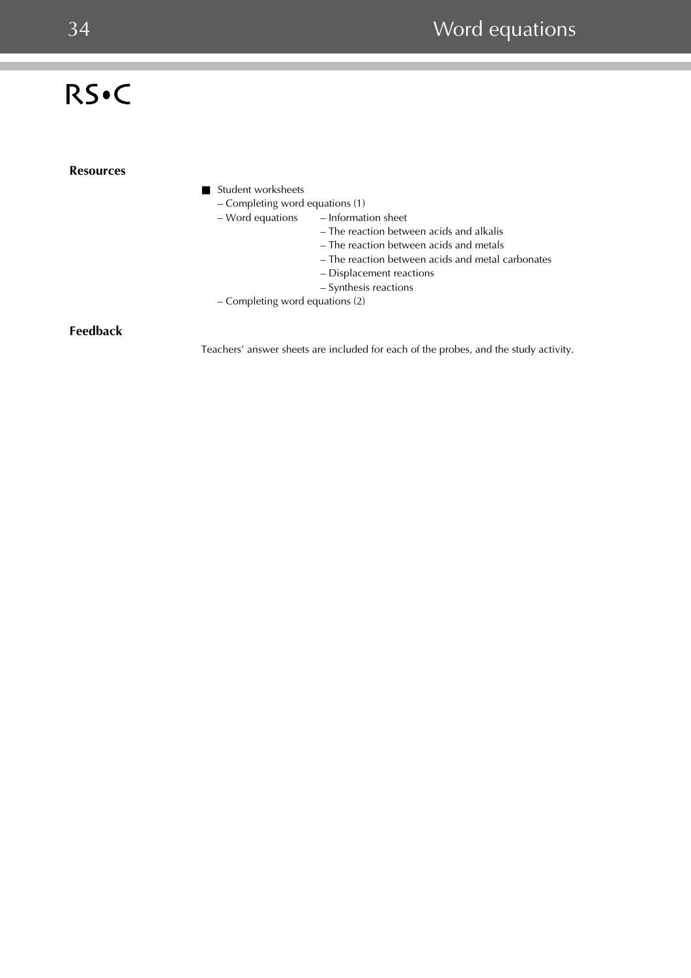**Resources**

#### ■ Student worksheets

– Completing word equations (1)

- Word equations Information sheet
	- The reaction between acids and alkalis
	- The reaction between acids and metals
	- The reaction between acids and metal carbonates
	- Displacement reactions
	- Synthesis reactions
- Completing word equations (2)

#### **Feedback**

Teachers' answer sheets are included for each of the probes, and the study activity.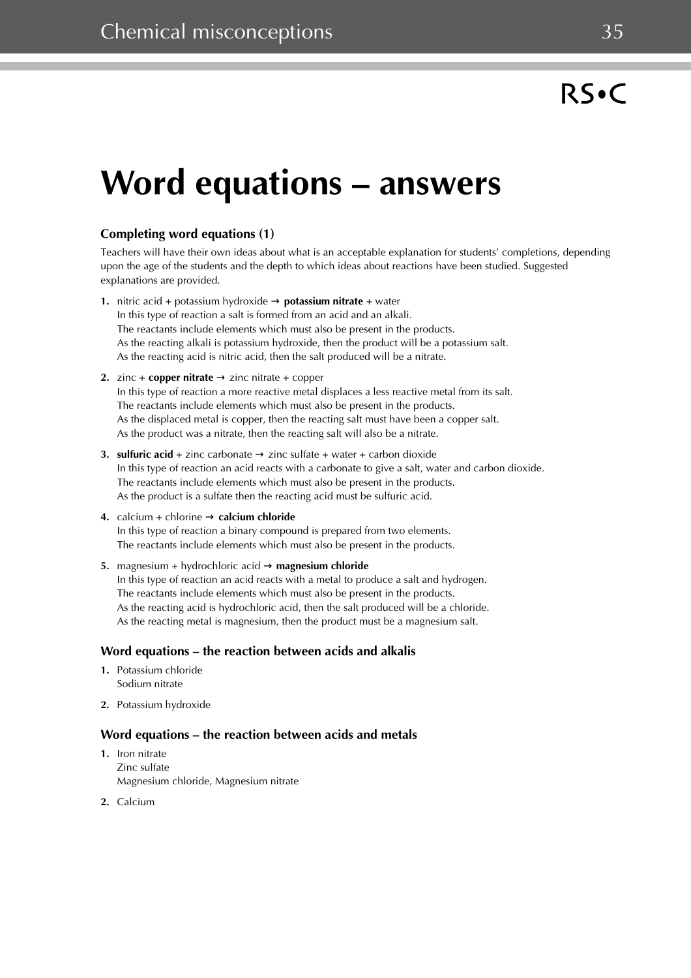# **Word equations – answers**

#### **Completing word equations (1)**

Teachers will have their own ideas about what is an acceptable explanation for students' completions, depending upon the age of the students and the depth to which ideas about reactions have been studied. Suggested explanations are provided.

- **1.** nitric acid + potassium hydroxide  $\rightarrow$  **potassium nitrate** + water In this type of reaction a salt is formed from an acid and an alkali. The reactants include elements which must also be present in the products. As the reacting alkali is potassium hydroxide, then the product will be a potassium salt. As the reacting acid is nitric acid, then the salt produced will be a nitrate.
- **2.** zinc + **copper nitrate**  $\rightarrow$  zinc nitrate + copper In this type of reaction a more reactive metal displaces a less reactive metal from its salt. The reactants include elements which must also be present in the products. As the displaced metal is copper, then the reacting salt must have been a copper salt. As the product was a nitrate, then the reacting salt will also be a nitrate.
- **3. sulfuric acid** + zinc carbonate  $\rightarrow$  zinc sulfate + water + carbon dioxide In this type of reaction an acid reacts with a carbonate to give a salt, water and carbon dioxide. The reactants include elements which must also be present in the products. As the product is a sulfate then the reacting acid must be sulfuric acid.
- **4.** calcium + chlorine  $\rightarrow$  calcium chloride In this type of reaction a binary compound is prepared from two elements. The reactants include elements which must also be present in the products.
- **5.** magnesium + hydrochloric acid → **magnesium chloride** In this type of reaction an acid reacts with a metal to produce a salt and hydrogen. The reactants include elements which must also be present in the products. As the reacting acid is hydrochloric acid, then the salt produced will be a chloride. As the reacting metal is magnesium, then the product must be a magnesium salt.

#### **Word equations – the reaction between acids and alkalis**

- **1.** Potassium chloride Sodium nitrate
- **2.** Potassium hydroxide

#### **Word equations – the reaction between acids and metals**

- **1.** Iron nitrate Zinc sulfate Magnesium chloride, Magnesium nitrate
- **2.** Calcium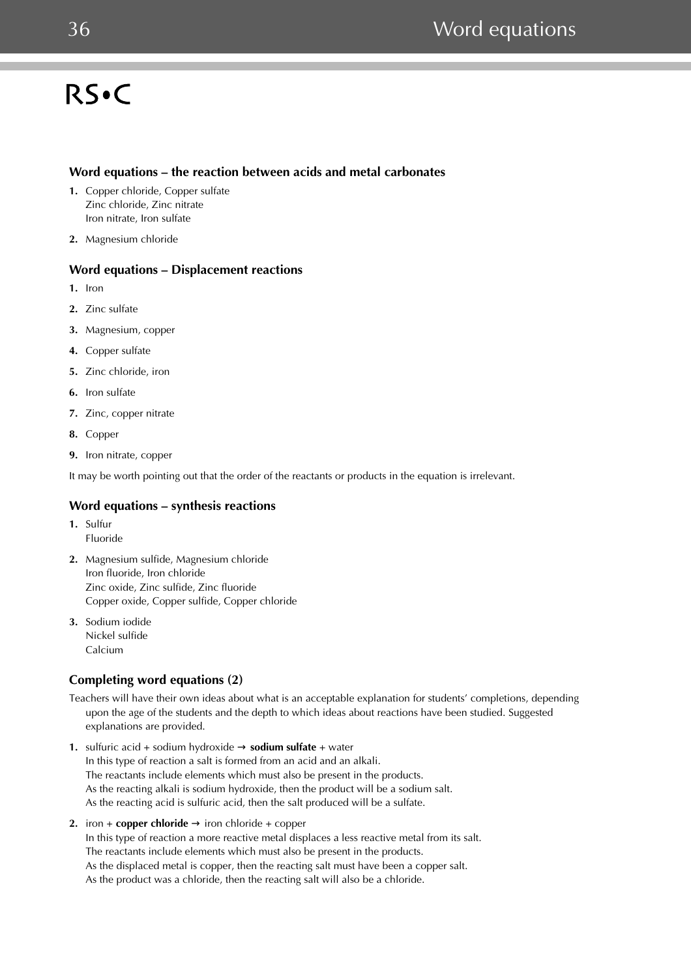#### **Word equations – the reaction between acids and metal carbonates**

- **1.** Copper chloride, Copper sulfate Zinc chloride, Zinc nitrate Iron nitrate, Iron sulfate
- **2.** Magnesium chloride

#### **Word equations – Displacement reactions**

- **1.** Iron
- **2.** Zinc sulfate
- **3.** Magnesium, copper
- **4.** Copper sulfate
- **5.** Zinc chloride, iron
- **6.** Iron sulfate
- **7.** Zinc, copper nitrate
- **8.** Copper
- **9.** Iron nitrate, copper

It may be worth pointing out that the order of the reactants or products in the equation is irrelevant.

#### **Word equations – synthesis reactions**

- **1.** Sulfur Fluoride
- **2.** Magnesium sulfide, Magnesium chloride Iron fluoride, Iron chloride Zinc oxide, Zinc sulfide, Zinc fluoride Copper oxide, Copper sulfide, Copper chloride
- **3.** Sodium iodide Nickel sulfide Calcium

### **Completing word equations (2)**

Teachers will have their own ideas about what is an acceptable explanation for students' completions, depending upon the age of the students and the depth to which ideas about reactions have been studied. Suggested explanations are provided.

- **1.** sulfuric acid + sodium hydroxide  $\rightarrow$  **sodium sulfate** + water In this type of reaction a salt is formed from an acid and an alkali. The reactants include elements which must also be present in the products. As the reacting alkali is sodium hydroxide, then the product will be a sodium salt. As the reacting acid is sulfuric acid, then the salt produced will be a sulfate.
- **2.** iron + **copper chloride**  $\rightarrow$  iron chloride + copper In this type of reaction a more reactive metal displaces a less reactive metal from its salt. The reactants include elements which must also be present in the products. As the displaced metal is copper, then the reacting salt must have been a copper salt. As the product was a chloride, then the reacting salt will also be a chloride.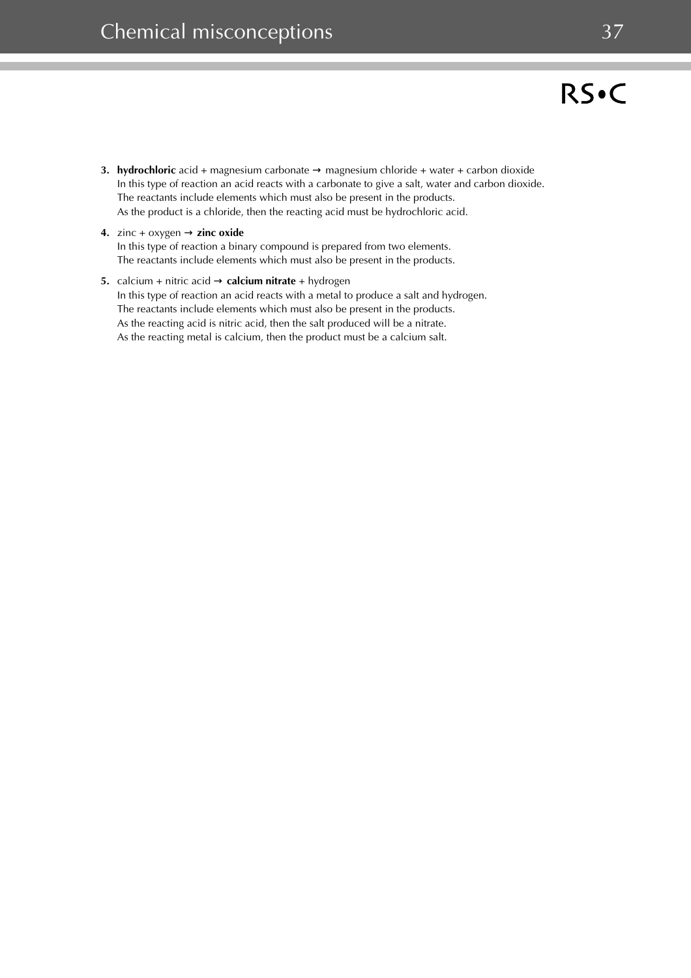- **3. hydrochloric** acid + magnesium carbonate → magnesium chloride + water + carbon dioxide In this type of reaction an acid reacts with a carbonate to give a salt, water and carbon dioxide. The reactants include elements which must also be present in the products. As the product is a chloride, then the reacting acid must be hydrochloric acid.
- **4.**  $zinc + oxygen \rightarrow zinc \, oxide$ In this type of reaction a binary compound is prepared from two elements. The reactants include elements which must also be present in the products.
- **5.** calcium + nitric acid  $\rightarrow$  **calcium nitrate** + hydrogen In this type of reaction an acid reacts with a metal to produce a salt and hydrogen. The reactants include elements which must also be present in the products. As the reacting acid is nitric acid, then the salt produced will be a nitrate. As the reacting metal is calcium, then the product must be a calcium salt.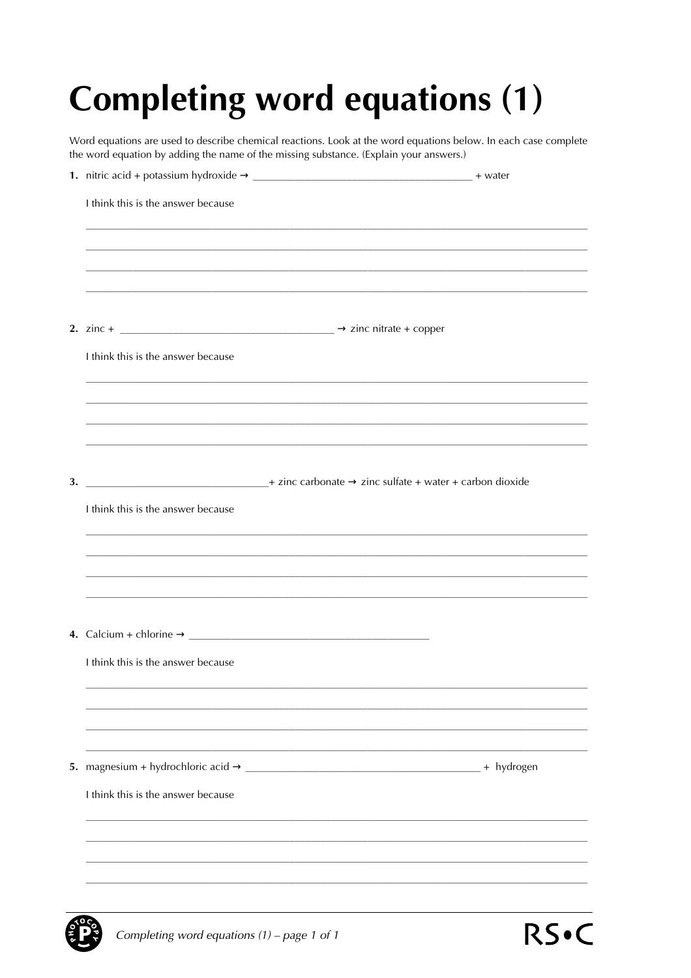# **Completing word equations (1)**

Word equations are used to describe chemical reactions. Look at the word equations below. In each case complete the word equation by adding the name of the missing substance. (Explain your answers.)

|    | I think this is the answer because |                                                                                                          |
|----|------------------------------------|----------------------------------------------------------------------------------------------------------|
|    |                                    |                                                                                                          |
|    |                                    |                                                                                                          |
|    |                                    |                                                                                                          |
|    |                                    |                                                                                                          |
|    |                                    | 2. zinc + $\frac{ }{ }$                                                                                  |
|    | I think this is the answer because |                                                                                                          |
|    |                                    |                                                                                                          |
|    |                                    |                                                                                                          |
|    |                                    |                                                                                                          |
|    |                                    |                                                                                                          |
|    |                                    | 3. _________________________________+ zinc carbonate $\rightarrow$ zinc sulfate + water + carbon dioxide |
|    | I think this is the answer because |                                                                                                          |
|    |                                    |                                                                                                          |
|    |                                    |                                                                                                          |
|    |                                    |                                                                                                          |
|    |                                    |                                                                                                          |
|    |                                    |                                                                                                          |
|    | I think this is the answer because |                                                                                                          |
|    |                                    |                                                                                                          |
|    |                                    |                                                                                                          |
|    |                                    |                                                                                                          |
| 5. |                                    | + hydrogen                                                                                               |
|    | I think this is the answer because |                                                                                                          |
|    |                                    |                                                                                                          |
|    |                                    |                                                                                                          |
|    |                                    |                                                                                                          |
|    |                                    |                                                                                                          |

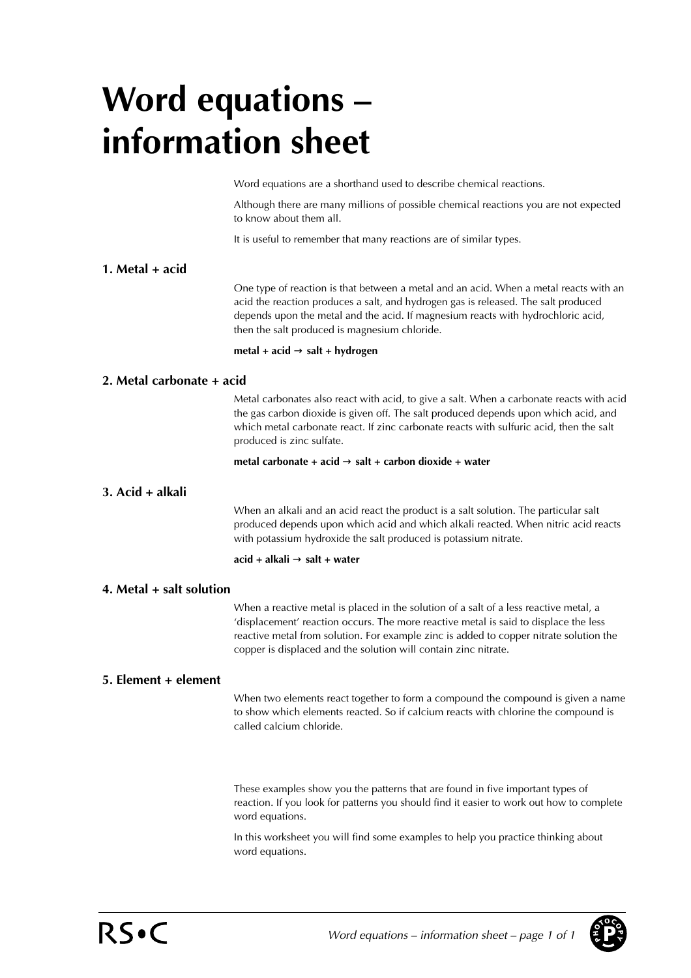# **Word equations – information sheet**

Word equations are a shorthand used to describe chemical reactions.

Although there are many millions of possible chemical reactions you are not expected to know about them all.

It is useful to remember that many reactions are of similar types.

### **1. Metal + acid**

One type of reaction is that between a metal and an acid. When a metal reacts with an acid the reaction produces a salt, and hydrogen gas is released. The salt produced depends upon the metal and the acid. If magnesium reacts with hydrochloric acid, then the salt produced is magnesium chloride.

**metal + acid** → **salt + hydrogen**

### **2. Metal carbonate + acid**

Metal carbonates also react with acid, to give a salt. When a carbonate reacts with acid the gas carbon dioxide is given off. The salt produced depends upon which acid, and which metal carbonate react. If zinc carbonate reacts with sulfuric acid, then the salt produced is zinc sulfate.

**metal carbonate + acid** → **salt + carbon dioxide + water**

### **3. Acid + alkali**

When an alkali and an acid react the product is a salt solution. The particular salt produced depends upon which acid and which alkali reacted. When nitric acid reacts with potassium hydroxide the salt produced is potassium nitrate.

#### **acid + alkali** → **salt + water**

### **4. Metal + salt solution**

When a reactive metal is placed in the solution of a salt of a less reactive metal, a 'displacement' reaction occurs. The more reactive metal is said to displace the less reactive metal from solution. For example zinc is added to copper nitrate solution the copper is displaced and the solution will contain zinc nitrate.

## **5. Element + element**

When two elements react together to form a compound the compound is given a name to show which elements reacted. So if calcium reacts with chlorine the compound is called calcium chloride.

These examples show you the patterns that are found in five important types of reaction. If you look for patterns you should find it easier to work out how to complete word equations.

In this worksheet you will find some examples to help you practice thinking about word equations.

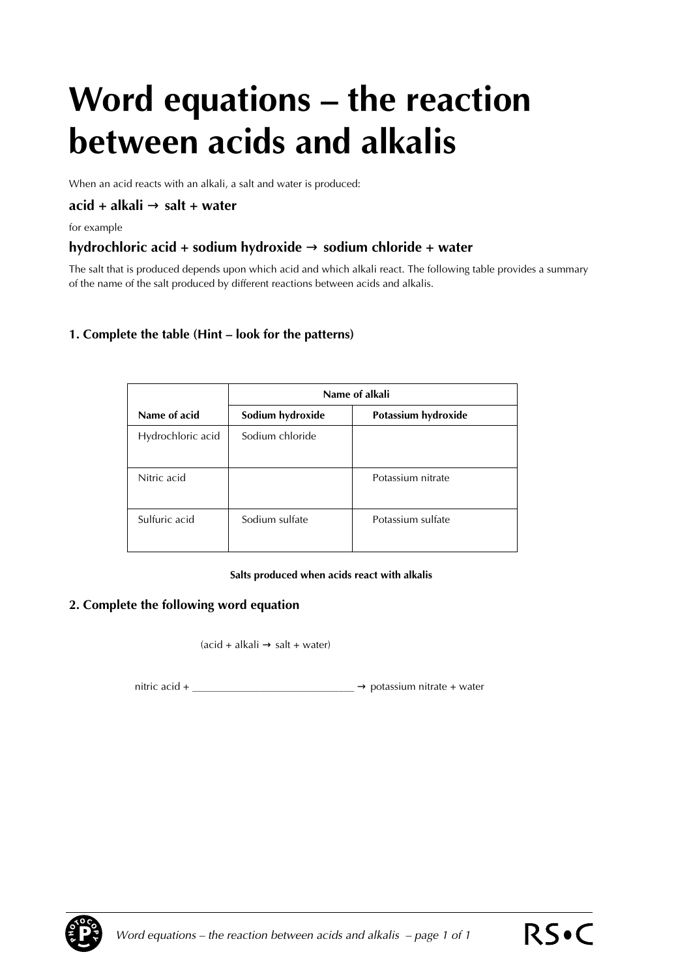# **Word equations – the reaction between acids and alkalis**

When an acid reacts with an alkali, a salt and water is produced:

## **acid + alkali** → **salt + water**

for example

### **hydrochloric acid + sodium hydroxide** → **sodium chloride + water**

The salt that is produced depends upon which acid and which alkali react. The following table provides a summary of the name of the salt produced by different reactions between acids and alkalis.

### **1. Complete the table (Hint – look for the patterns)**

|                   | Name of alkali   |                     |  |
|-------------------|------------------|---------------------|--|
| Name of acid      | Sodium hydroxide | Potassium hydroxide |  |
| Hydrochloric acid | Sodium chloride  |                     |  |
| Nitric acid       |                  | Potassium nitrate   |  |
| Sulfuric acid     | Sodium sulfate   | Potassium sulfate   |  |

**Salts produced when acids react with alkalis**

## **2. Complete the following word equation**

 $(acid + alkali \rightarrow salt + water)$ 

 $\text{mitric acid} + \underline{\hspace{2cm}}$ 

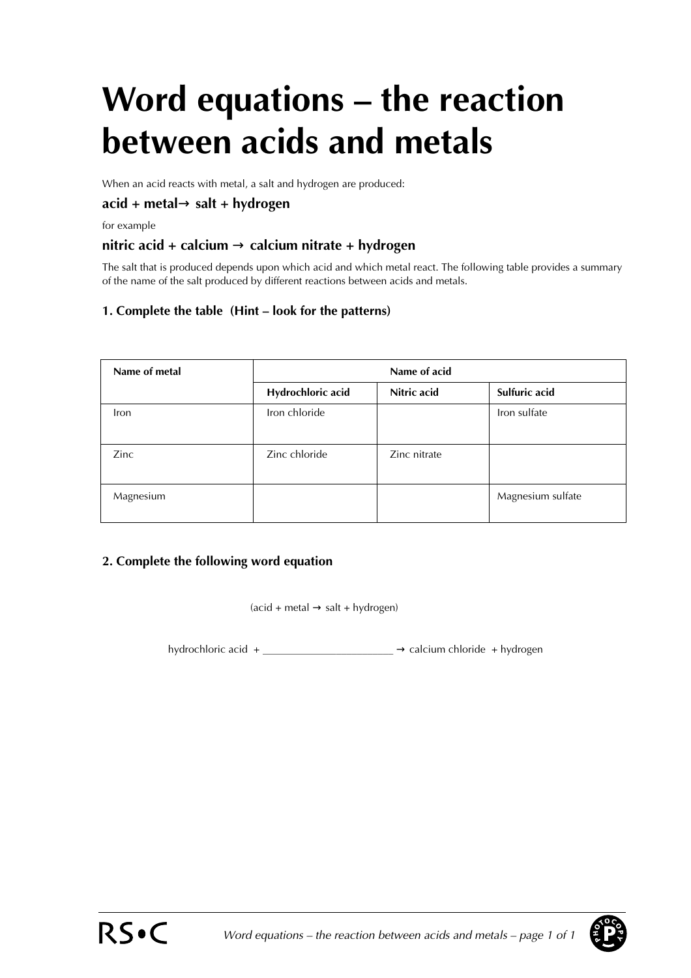# **Word equations – the reaction between acids and metals**

When an acid reacts with metal, a salt and hydrogen are produced:

# **acid + metal**→ **salt + hydrogen**

for example

## **nitric acid + calcium** → **calcium nitrate + hydrogen**

The salt that is produced depends upon which acid and which metal react. The following table provides a summary of the name of the salt produced by different reactions between acids and metals.

# **1. Complete the table (Hint – look for the patterns)**

| Name of metal | Name of acid      |                    |                   |
|---------------|-------------------|--------------------|-------------------|
|               | Hydrochloric acid | <b>Nitric acid</b> | Sulfuric acid     |
| <b>Iron</b>   | Iron chloride     |                    | Iron sulfate      |
| <b>Zinc</b>   | Zinc chloride     | Zinc nitrate       |                   |
| Magnesium     |                   |                    | Magnesium sulfate |

# **2. Complete the following word equation**

 $(\text{acid} + \text{metal} \rightarrow \text{salt} + \text{hydrogen})$ 

hydrochloric acid + \_\_\_\_\_\_\_\_\_\_\_\_\_\_\_\_\_\_\_\_\_\_\_\_\_ → calcium chloride + hydrogen

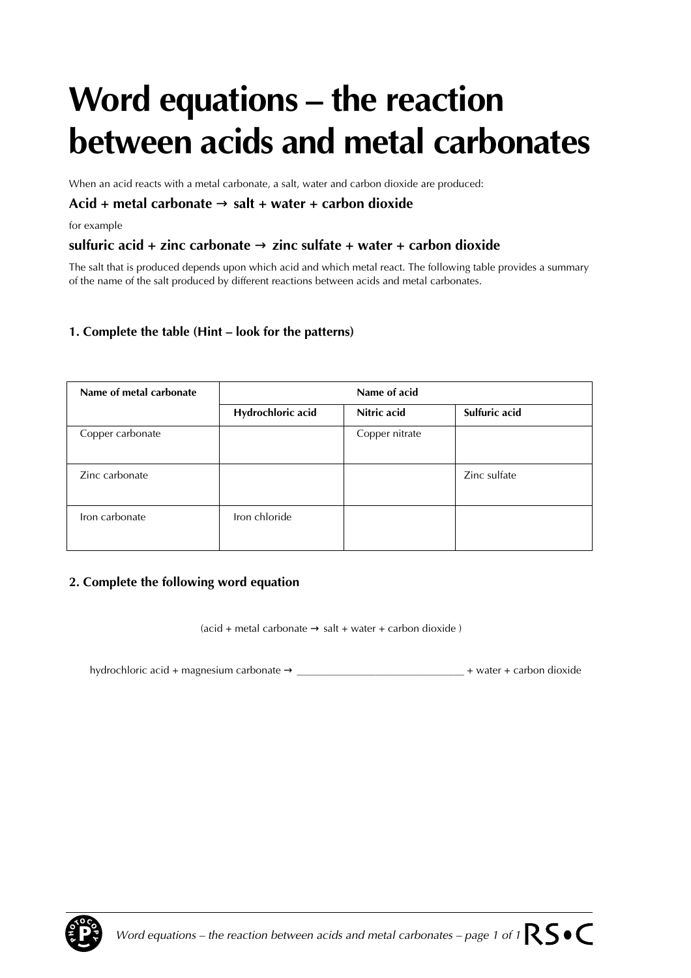# **Word equations – the reaction between acids and metal carbonates**

When an acid reacts with a metal carbonate, a salt, water and carbon dioxide are produced:

### **Acid + metal carbonate** → **salt + water + carbon dioxide**

for example

**sulfuric acid + zinc carbonate** → **zinc sulfate + water + carbon dioxide**

The salt that is produced depends upon which acid and which metal react. The following table provides a summary of the name of the salt produced by different reactions between acids and metal carbonates.

### **1. Complete the table (Hint – look for the patterns)**

| Name of metal carbonate | Name of acid      |                    |               |
|-------------------------|-------------------|--------------------|---------------|
|                         | Hydrochloric acid | <b>Nitric acid</b> | Sulfuric acid |
| Copper carbonate        |                   | Copper nitrate     |               |
| Zinc carbonate          |                   |                    | Zinc sulfate  |
| Iron carbonate          | Iron chloride     |                    |               |

### **2. Complete the following word equation**

 $(\text{acid} + \text{metal} \cdot \text{carbonate} \rightarrow \text{salt} + \text{water} + \text{carbon} \cdot \text{dioxide})$ 

hydrochloric acid + magnesium carbonate → \_\_\_\_\_\_\_\_\_\_\_\_\_\_\_\_\_\_\_\_\_\_\_\_\_\_\_\_\_\_\_\_ + water + carbon dioxide

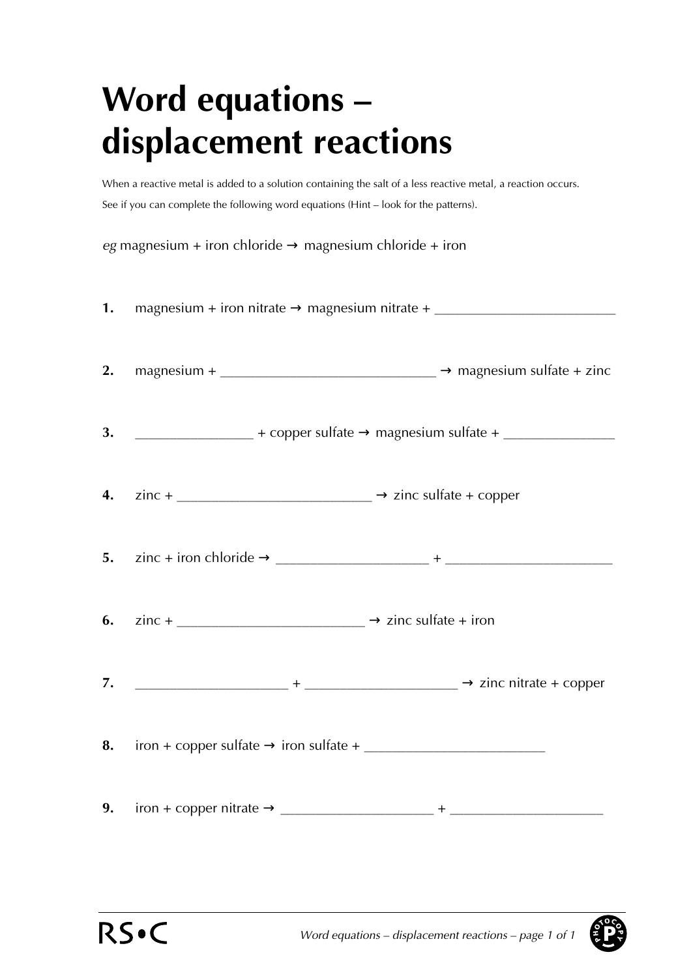# **Word equations – displacement reactions**

When a reactive metal is added to a solution containing the salt of a less reactive metal, a reaction occurs. See if you can complete the following word equations (Hint – look for the patterns).

*eg* magnesium + iron chloride → magnesium chloride + iron

| 1. magnesium + iron nitrate $\rightarrow$ magnesium nitrate + ___________________________                                                                                                                                                                                                                                                                                                               |  |  |
|---------------------------------------------------------------------------------------------------------------------------------------------------------------------------------------------------------------------------------------------------------------------------------------------------------------------------------------------------------------------------------------------------------|--|--|
| 2. magnesium + $\frac{1}{\sqrt{1-\frac{1}{2}}\sqrt{1-\frac{1}{2}}\sqrt{1-\frac{1}{2}}\sqrt{1-\frac{1}{2}}\sqrt{1-\frac{1}{2}}\sqrt{1-\frac{1}{2}}\sqrt{1-\frac{1}{2}}\sqrt{1-\frac{1}{2}}\sqrt{1-\frac{1}{2}}\sqrt{1-\frac{1}{2}}\sqrt{1-\frac{1}{2}}\sqrt{1-\frac{1}{2}}\sqrt{1-\frac{1}{2}}\sqrt{1-\frac{1}{2}}\sqrt{1-\frac{1}{2}}\sqrt{1-\frac{1}{2}}\sqrt{1-\frac{1}{2}}\sqrt{1-\frac{1}{2}}\sqrt$ |  |  |
| 3. ____________________ + copper sulfate $\rightarrow$ magnesium sulfate + ______________                                                                                                                                                                                                                                                                                                               |  |  |
| 4. $\mathsf{zinc} + \underline{\hspace{2cm}} \longrightarrow \mathsf{zinc}$ sulfate + copper                                                                                                                                                                                                                                                                                                            |  |  |
| 5. $\text{zinc} + \text{iron chloride} \rightarrow \_$                                                                                                                                                                                                                                                                                                                                                  |  |  |
|                                                                                                                                                                                                                                                                                                                                                                                                         |  |  |
|                                                                                                                                                                                                                                                                                                                                                                                                         |  |  |
|                                                                                                                                                                                                                                                                                                                                                                                                         |  |  |
|                                                                                                                                                                                                                                                                                                                                                                                                         |  |  |

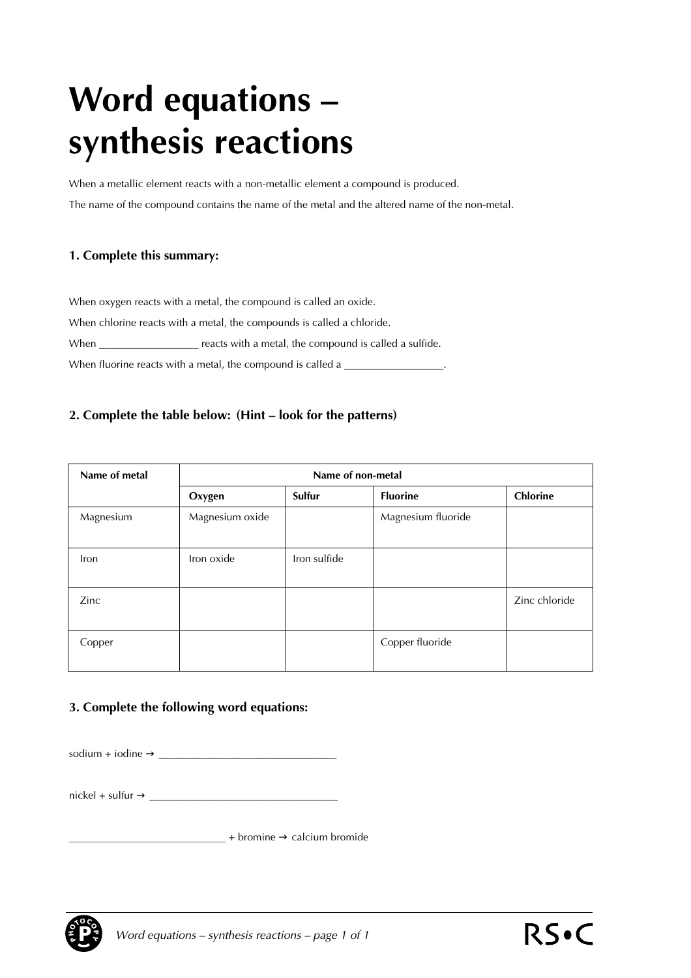# **Word equations – synthesis reactions**

When a metallic element reacts with a non-metallic element a compound is produced. The name of the compound contains the name of the metal and the altered name of the non-metal.

# **1. Complete this summary:**

When oxygen reacts with a metal, the compound is called an oxide. When chlorine reacts with a metal, the compounds is called a chloride. When **Example 20** reacts with a metal, the compound is called a sulfide. When fluorine reacts with a metal, the compound is called a  $\blacksquare$ 

## **2. Complete the table below: (Hint – look for the patterns)**

| Name of metal | Name of non-metal |              |                    |                 |
|---------------|-------------------|--------------|--------------------|-----------------|
|               | Oxygen            | Sulfur       | <b>Fluorine</b>    | <b>Chlorine</b> |
| Magnesium     | Magnesium oxide   |              | Magnesium fluoride |                 |
| Iron          | Iron oxide        | Iron sulfide |                    |                 |
| Zinc          |                   |              |                    | Zinc chloride   |
| Copper        |                   |              | Copper fluoride    |                 |

## **3. Complete the following word equations:**

sodium + iodine  $\rightarrow$ 

 $nickel + sulfur \rightarrow$ 

 $+$  bromine  $\rightarrow$  calcium bromide

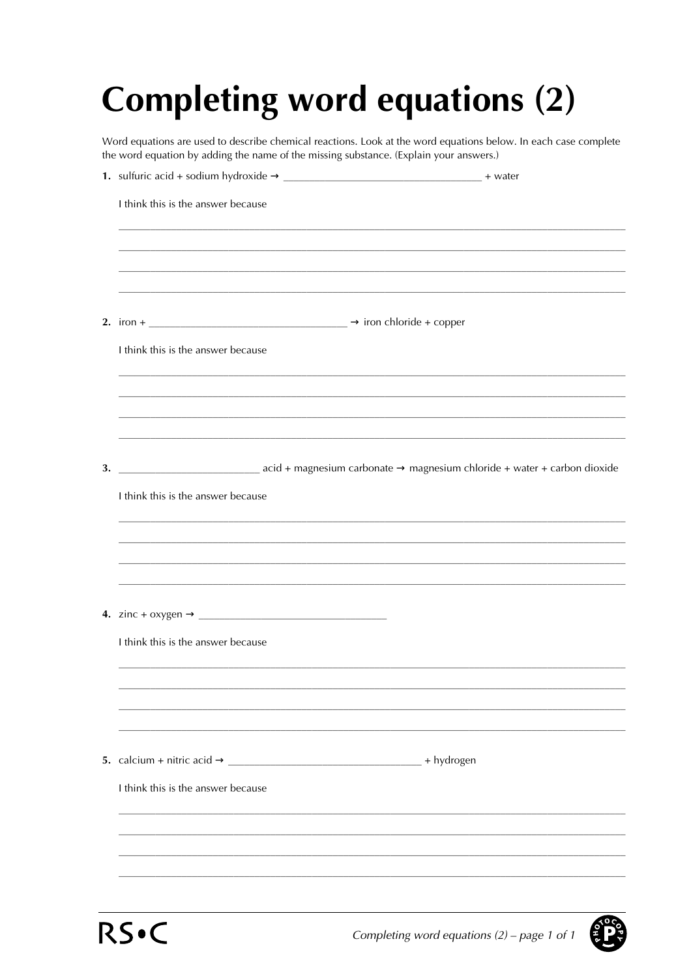# **Completing word equations (2)**

Word equations are used to describe chemical reactions. Look at the word equations below. In each case complete the word equation by adding the name of the missing substance. (Explain your answers.)

|    | I think this is the answer because |  |  |
|----|------------------------------------|--|--|
|    |                                    |  |  |
|    |                                    |  |  |
|    | I think this is the answer because |  |  |
|    |                                    |  |  |
|    |                                    |  |  |
| 3. |                                    |  |  |
|    | I think this is the answer because |  |  |
|    |                                    |  |  |
|    |                                    |  |  |
|    |                                    |  |  |
|    | I think this is the answer because |  |  |
|    |                                    |  |  |
|    |                                    |  |  |
|    |                                    |  |  |
|    | I think this is the answer because |  |  |
|    |                                    |  |  |
|    |                                    |  |  |
|    |                                    |  |  |